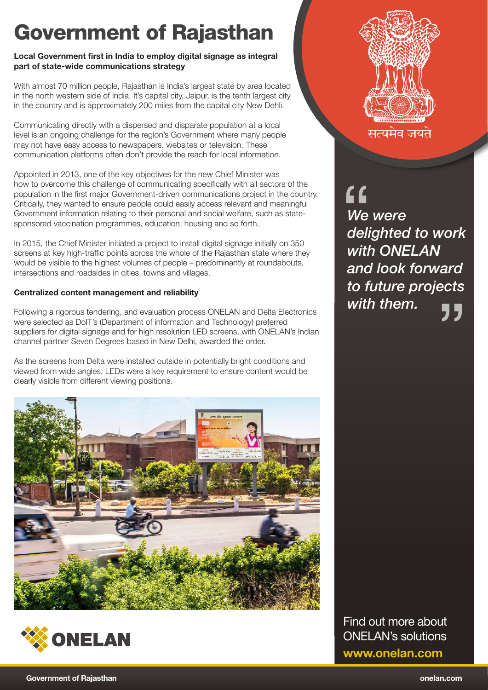## Government of Rajasthan

### Local Government first in India to employ digital signage as integral part of state-wide communications strategy

With almost 70 million people, Rajasthan is India's largest state by area located in the north western side of India. It's capital city, Jaipur, is the tenth largest city in the country and is approximately 200 miles from the capital city New Dehli.

Communicating directly with a dispersed and disparate population at a local level is an ongoing challenge for the region's Government where many people may not have easy access to newspapers, websites or television. These communication platforms often don't provide the reach for local information.

Appointed in 2013, one of the key objectives for the new Chief Minister was how to overcome this challenge of communicating specifically with all sectors of the population in the first major Government-driven communications project in the country. Critically, they wanted to ensure people could easily access relevant and meaningful Government information relating to their personal and social welfare, such as statesponsored vaccination programmes, education, housing and so forth.

In 2015, the Chief Minister initiated a project to install digital signage initially on 350 screens at key high-traffic points across the whole of the Rajasthan state where they would be visible to the highest volumes of people – predominantly at roundabouts, intersections and roadsides in cities, towns and villages.

### Centralized content management and reliability

Following a rigorous tendering, and evaluation process ONELAN and Delta Electronics were selected as DoIT's (Department of information and Technology) preferred suppliers for digital signage and for high resolution LED screens, with ONELAN's Indian channel partner Seven Degrees based in New Delhi, awarded the order.

As the screens from Delta were installed outside in potentially bright conditions and viewed from wide angles, LEDs were a key requirement to ensure content would be clearly visible from different viewing positions.







सत्यमंव जयतं

*We were delighted to work with ONELAN and look forward to future projects with them.* " "

Find out more about ONELAN's solutions www.onelan.com